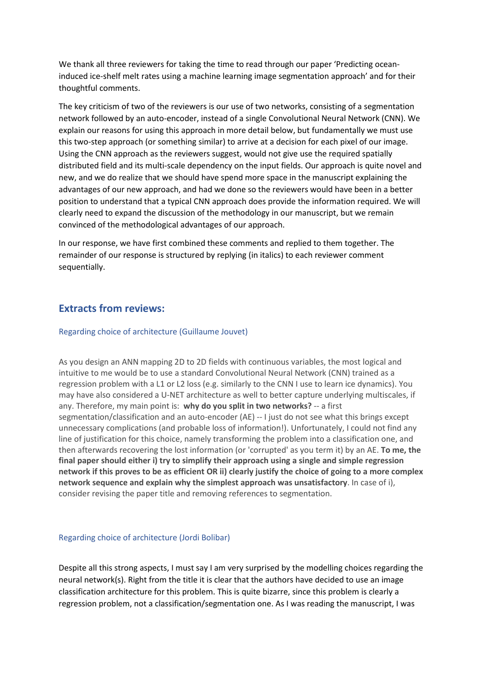We thank all three reviewers for taking the time to read through our paper 'Predicting oceaninduced ice-shelf melt rates using a machine learning image segmentation approach' and for their thoughtful comments.

The key criticism of two of the reviewers is our use of two networks, consisting of a segmentation network followed by an auto-encoder, instead of a single Convolutional Neural Network (CNN). We explain our reasons for using this approach in more detail below, but fundamentally we must use this two-step approach (or something similar) to arrive at a decision for each pixel of our image. Using the CNN approach as the reviewers suggest, would not give use the required spatially distributed field and its multi-scale dependency on the input fields. Our approach is quite novel and new, and we do realize that we should have spend more space in the manuscript explaining the advantages of our new approach, and had we done so the reviewers would have been in a better position to understand that a typical CNN approach does provide the information required. We will clearly need to expand the discussion of the methodology in our manuscript, but we remain convinced of the methodological advantages of our approach.

In our response, we have first combined these comments and replied to them together. The remainder of our response is structured by replying (in italics) to each reviewer comment sequentially.

## **Extracts from reviews:**

#### Regarding choice of architecture (Guillaume Jouvet)

As you design an ANN mapping 2D to 2D fields with continuous variables, the most logical and intuitive to me would be to use a standard Convolutional Neural Network (CNN) trained as a regression problem with a L1 or L2 loss (e.g. similarly to the CNN I use to learn ice dynamics). You may have also considered a U-NET architecture as well to better capture underlying multiscales, if any. Therefore, my main point is: **why do you split in two networks?** -- a first segmentation/classification and an auto-encoder (AE) -- I just do not see what this brings except unnecessary complications (and probable loss of information!). Unfortunately, I could not find any line of justification for this choice, namely transforming the problem into a classification one, and then afterwards recovering the lost information (or 'corrupted' as you term it) by an AE. **To me, the final paper should either i) try to simplify their approach using a single and simple regression network if this proves to be as efficient OR ii) clearly justify the choice of going to a more complex network sequence and explain why the simplest approach was unsatisfactory**. In case of i), consider revising the paper title and removing references to segmentation.

#### Regarding choice of architecture (Jordi Bolibar)

Despite all this strong aspects, I must say I am very surprised by the modelling choices regarding the neural network(s). Right from the title it is clear that the authors have decided to use an image classification architecture for this problem. This is quite bizarre, since this problem is clearly a regression problem, not a classification/segmentation one. As I was reading the manuscript, I was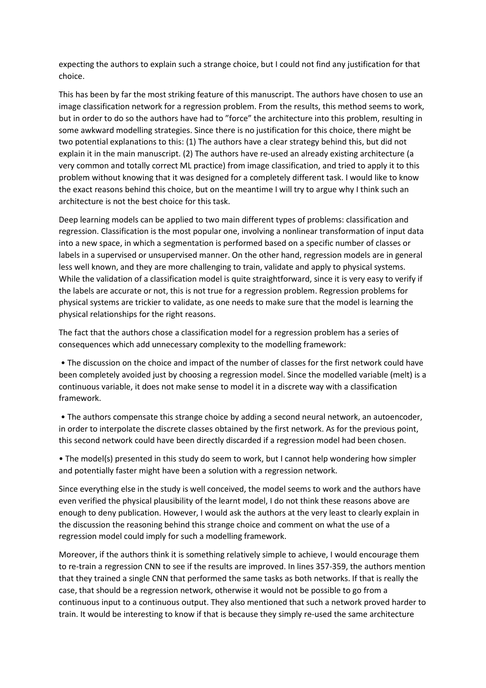expecting the authors to explain such a strange choice, but I could not find any justification for that choice.

This has been by far the most striking feature of this manuscript. The authors have chosen to use an image classification network for a regression problem. From the results, this method seems to work, but in order to do so the authors have had to "force" the architecture into this problem, resulting in some awkward modelling strategies. Since there is no justification for this choice, there might be two potential explanations to this: (1) The authors have a clear strategy behind this, but did not explain it in the main manuscript. (2) The authors have re-used an already existing architecture (a very common and totally correct ML practice) from image classification, and tried to apply it to this problem without knowing that it was designed for a completely different task. I would like to know the exact reasons behind this choice, but on the meantime I will try to argue why I think such an architecture is not the best choice for this task.

Deep learning models can be applied to two main different types of problems: classification and regression. Classification is the most popular one, involving a nonlinear transformation of input data into a new space, in which a segmentation is performed based on a specific number of classes or labels in a supervised or unsupervised manner. On the other hand, regression models are in general less well known, and they are more challenging to train, validate and apply to physical systems. While the validation of a classification model is quite straightforward, since it is very easy to verify if the labels are accurate or not, this is not true for a regression problem. Regression problems for physical systems are trickier to validate, as one needs to make sure that the model is learning the physical relationships for the right reasons.

The fact that the authors chose a classification model for a regression problem has a series of consequences which add unnecessary complexity to the modelling framework:

• The discussion on the choice and impact of the number of classes for the first network could have been completely avoided just by choosing a regression model. Since the modelled variable (melt) is a continuous variable, it does not make sense to model it in a discrete way with a classification framework.

• The authors compensate this strange choice by adding a second neural network, an autoencoder, in order to interpolate the discrete classes obtained by the first network. As for the previous point, this second network could have been directly discarded if a regression model had been chosen.

• The model(s) presented in this study do seem to work, but I cannot help wondering how simpler and potentially faster might have been a solution with a regression network.

Since everything else in the study is well conceived, the model seems to work and the authors have even verified the physical plausibility of the learnt model, I do not think these reasons above are enough to deny publication. However, I would ask the authors at the very least to clearly explain in the discussion the reasoning behind this strange choice and comment on what the use of a regression model could imply for such a modelling framework.

Moreover, if the authors think it is something relatively simple to achieve, I would encourage them to re-train a regression CNN to see if the results are improved. In lines 357-359, the authors mention that they trained a single CNN that performed the same tasks as both networks. If that is really the case, that should be a regression network, otherwise it would not be possible to go from a continuous input to a continuous output. They also mentioned that such a network proved harder to train. It would be interesting to know if that is because they simply re-used the same architecture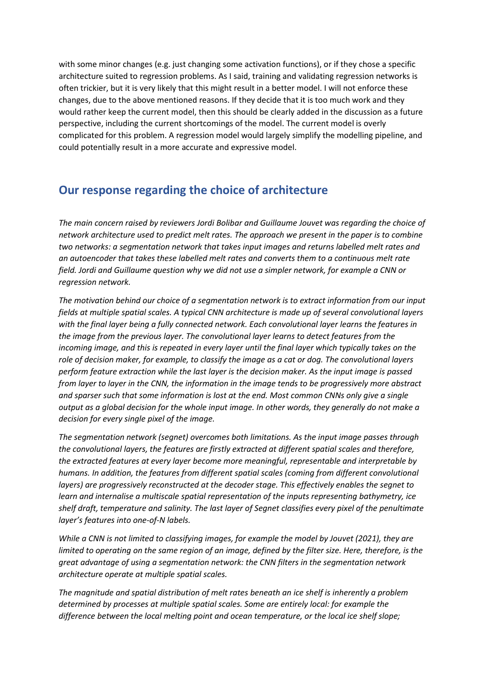with some minor changes (e.g. just changing some activation functions), or if they chose a specific architecture suited to regression problems. As I said, training and validating regression networks is often trickier, but it is very likely that this might result in a better model. I will not enforce these changes, due to the above mentioned reasons. If they decide that it is too much work and they would rather keep the current model, then this should be clearly added in the discussion as a future perspective, including the current shortcomings of the model. The current model is overly complicated for this problem. A regression model would largely simplify the modelling pipeline, and could potentially result in a more accurate and expressive model.

# **Our response regarding the choice of architecture**

*The main concern raised by reviewers Jordi Bolibar and Guillaume Jouvet was regarding the choice of network architecture used to predict melt rates. The approach we present in the paper is to combine two networks: a segmentation network that takes input images and returns labelled melt rates and an autoencoder that takes these labelled melt rates and converts them to a continuous melt rate field. Jordi and Guillaume question why we did not use a simpler network, for example a CNN or regression network.* 

*The motivation behind our choice of a segmentation network is to extract information from our input fields at multiple spatial scales. A typical CNN architecture is made up of several convolutional layers with the final layer being a fully connected network. Each convolutional layer learns the features in the image from the previous layer. The convolutional layer learns to detect features from the incoming image, and this is repeated in every layer until the final layer which typically takes on the role of decision maker, for example, to classify the image as a cat or dog. The convolutional layers perform feature extraction while the last layer is the decision maker. As the input image is passed from layer to layer in the CNN, the information in the image tends to be progressively more abstract and sparser such that some information is lost at the end. Most common CNNs only give a single output as a global decision for the whole input image. In other words, they generally do not make a decision for every single pixel of the image.* 

*The segmentation network (segnet) overcomes both limitations. As the input image passes through the convolutional layers, the features are firstly extracted at different spatial scales and therefore, the extracted features at every layer become more meaningful, representable and interpretable by humans. In addition, the features from different spatial scales (coming from different convolutional layers) are progressively reconstructed at the decoder stage. This effectively enables the segnet to learn and internalise a multiscale spatial representation of the inputs representing bathymetry, ice shelf draft, temperature and salinity. The last layer of Segnet classifies every pixel of the penultimate layer's features into one-of-N labels.*

*While a CNN is not limited to classifying images, for example the model by Jouvet (2021), they are limited to operating on the same region of an image, defined by the filter size. Here, therefore, is the great advantage of using a segmentation network: the CNN filters in the segmentation network architecture operate at multiple spatial scales.*

*The magnitude and spatial distribution of melt rates beneath an ice shelf is inherently a problem determined by processes at multiple spatial scales. Some are entirely local: for example the difference between the local melting point and ocean temperature, or the local ice shelf slope;*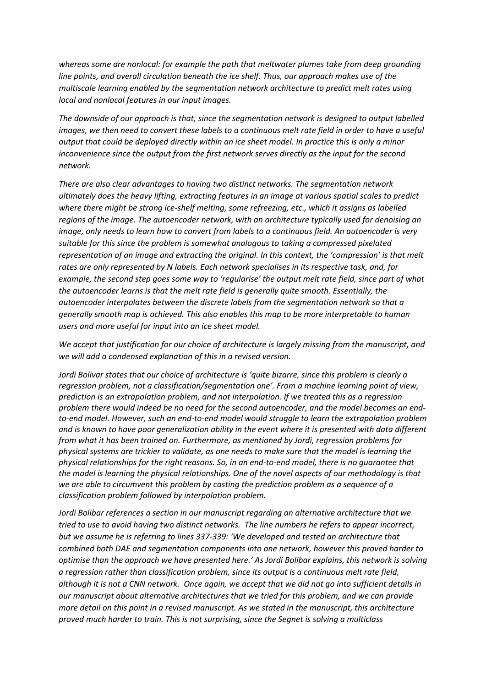*whereas some are nonlocal: for example the path that meltwater plumes take from deep grounding line points, and overall circulation beneath the ice shelf. Thus, our approach makes use of the multiscale learning enabled by the segmentation network architecture to predict melt rates using local and nonlocal features in our input images.*

*The downside of our approach is that, since the segmentation network is designed to output labelled images, we then need to convert these labels to a continuous melt rate field in order to have a useful output that could be deployed directly within an ice sheet model. In practice this is only a minor inconvenience since the output from the first network serves directly as the input for the second network.*

*There are also clear advantages to having two distinct networks. The segmentation network ultimately does the heavy lifting, extracting features in an image at various spatial scales to predict where there might be strong ice-shelf melting, some refreezing, etc., which it assigns as labelled regions of the image. The autoencoder network, with an architecture typically used for denoising an image, only needs to learn how to convert from labels to a continuous field. An autoencoder is very suitable for this since the problem is somewhat analogous to taking a compressed pixelated representation of an image and extracting the original. In this context, the 'compression' is that melt rates are only represented by N labels. Each network specialises in its respective task, and, for example, the second step goes some way to 'regularise' the output melt rate field, since part of what the autoencoder learns is that the melt rate field is generally quite smooth. Essentially, the autoencoder interpolates between the discrete labels from the segmentation network so that a generally smooth map is achieved. This also enables this map to be more interpretable to human users and more useful for input into an ice sheet model.*

*We accept that justification for our choice of architecture is largely missing from the manuscript, and we will add a condensed explanation of this in a revised version.*

*Jordi Bolivar states that our choice of architecture is 'quite bizarre, since this problem is clearly a regression problem, not a classification/segmentation one'. From a machine learning point of view, prediction is an extrapolation problem, and not interpolation. If we treated this as a regression problem there would indeed be no need for the second autoencoder, and the model becomes an endto-end model. However, such an end-to-end model would struggle to learn the extrapolation problem and is known to have poor generalization ability in the event where it is presented with data different from what it has been trained on. Furthermore, as mentioned by Jordi, regression problems for physical systems are trickier to validate, as one needs to make sure that the model is learning the physical relationships for the right reasons. So, in an end-to-end model, there is no guarantee that the model is learning the physical relationships. One of the novel aspects of our methodology is that we are able to circumvent this problem by casting the prediction problem as a sequence of a classification problem followed by interpolation problem.*

*Jordi Bolibar references a section in our manuscript regarding an alternative architecture that we tried to use to avoid having two distinct networks. The line numbers he refers to appear incorrect, but we assume he is referring to lines 337-339: 'We developed and tested an architecture that combined both DAE and segmentation components into one network, however this proved harder to optimise than the approach we have presented here.' As Jordi Bolibar explains, this network is solving a regression rather than classification problem, since its output is a continuous melt rate field, although it is not a CNN network. Once again, we accept that we did not go into sufficient details in our manuscript about alternative architectures that we tried for this problem, and we can provide more detail on this point in a revised manuscript. As we stated in the manuscript, this architecture proved much harder to train. This is not surprising, since the Segnet is solving a multiclass*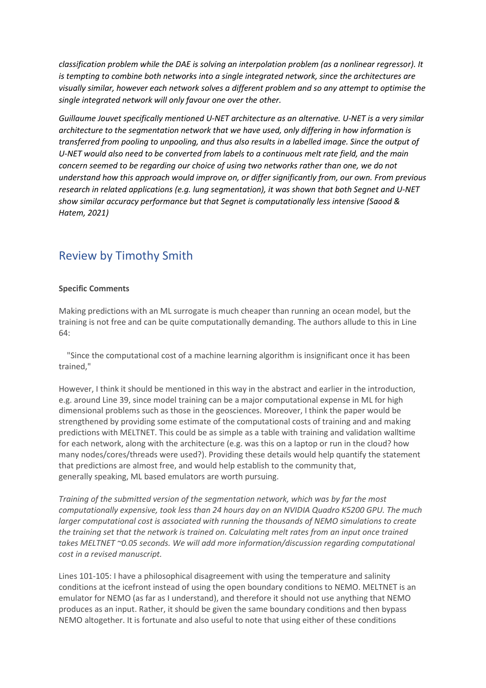*classification problem while the DAE is solving an interpolation problem (as a nonlinear regressor). It is tempting to combine both networks into a single integrated network, since the architectures are visually similar, however each network solves a different problem and so any attempt to optimise the single integrated network will only favour one over the other.* 

*Guillaume Jouvet specifically mentioned U-NET architecture as an alternative. U-NET is a very similar architecture to the segmentation network that we have used, only differing in how information is transferred from pooling to unpooling, and thus also results in a labelled image. Since the output of U-NET would also need to be converted from labels to a continuous melt rate field, and the main concern seemed to be regarding our choice of using two networks rather than one, we do not understand how this approach would improve on, or differ significantly from, our own. From previous research in related applications (e.g. lung segmentation), it was shown that both Segnet and U-NET show similar accuracy performance but that Segnet is computationally less intensive (Saood & Hatem, 2021)*

# Review by Timothy Smith

#### **Specific Comments**

Making predictions with an ML surrogate is much cheaper than running an ocean model, but the training is not free and can be quite computationally demanding. The authors allude to this in Line 64:

"Since the computational cost of a machine learning algorithm is insignificant once it has been trained,"

However, I think it should be mentioned in this way in the abstract and earlier in the introduction, e.g. around Line 39, since model training can be a major computational expense in ML for high dimensional problems such as those in the geosciences. Moreover, I think the paper would be strengthened by providing some estimate of the computational costs of training and and making predictions with MELTNET. This could be as simple as a table with training and validation walltime for each network, along with the architecture (e.g. was this on a laptop or run in the cloud? how many nodes/cores/threads were used?). Providing these details would help quantify the statement that predictions are almost free, and would help establish to the community that, generally speaking, ML based emulators are worth pursuing.

*Training of the submitted version of the segmentation network, which was by far the most computationally expensive, took less than 24 hours day on an NVIDIA Quadro K5200 GPU. The much larger computational cost is associated with running the thousands of NEMO simulations to create the training set that the network is trained on. Calculating melt rates from an input once trained takes MELTNET ~0.05 seconds. We will add more information/discussion regarding computational cost in a revised manuscript.*

Lines 101-105: I have a philosophical disagreement with using the temperature and salinity conditions at the icefront instead of using the open boundary conditions to NEMO. MELTNET is an emulator for NEMO (as far as I understand), and therefore it should not use anything that NEMO produces as an input. Rather, it should be given the same boundary conditions and then bypass NEMO altogether. It is fortunate and also useful to note that using either of these conditions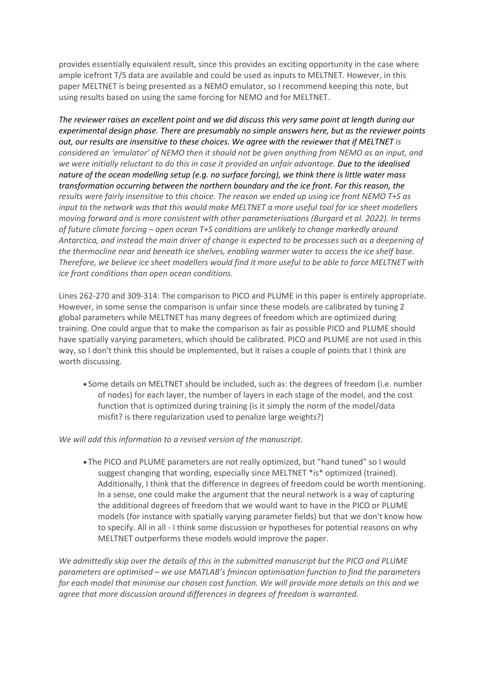provides essentially equivalent result, since this provides an exciting opportunity in the case where ample icefront T/S data are available and could be used as inputs to MELTNET. However, in this paper MELTNET is being presented as a NEMO emulator, so I recommend keeping this note, but using results based on using the same forcing for NEMO and for MELTNET.

*The reviewer raises an excellent point and we did discuss this very same point at length during our experimental design phase. There are presumably no simple answers here, but as the reviewer points out, our results are insensitive to these choices. We agree with the reviewer that if MELTNET is considered an 'emulator' of NEMO then it should not be given anything from NEMO as an input, and we were initially reluctant to do this in case it provided an unfair advantage. Due to the idealised nature of the ocean modelling setup (e.g. no surface forcing), we think there is little water mass transformation occurring between the northern boundary and the ice front. For this reason, the results were fairly insensitive to this choice. The reason we ended up using ice front NEMO T+S as input to the network was that this would make MELTNET a more useful tool for ice sheet modellers moving forward and is more consistent with other parameterisations (Burgard et al. 2022). In terms of future climate forcing – open ocean T+S conditions are unlikely to change markedly around Antarctica, and instead the main driver of change is expected to be processes such as a deepening of the thermocline near and beneath ice shelves, enabling warmer water to access the ice shelf base. Therefore, we believe ice sheet modellers would find it more useful to be able to force MELTNET with ice front conditions than open ocean conditions.* 

Lines 262-270 and 309-314: The comparison to PICO and PLUME in this paper is entirely appropriate. However, in some sense the comparison is unfair since these models are calibrated by tuning 2 global parameters while MELTNET has many degrees of freedom which are optimized during training. One could argue that to make the comparison as fair as possible PICO and PLUME should have spatially varying parameters, which should be calibrated. PICO and PLUME are not used in this way, so I don't think this should be implemented, but it raises a couple of points that I think are worth discussing.

• Some details on MELTNET should be included, such as: the degrees of freedom (i.e. number of nodes) for each layer, the number of layers in each stage of the model, and the cost function that is optimized during training (is it simply the norm of the model/data misfit? is there regularization used to penalize large weights?)

*We will add this information to a revised version of the manuscript.*

• The PICO and PLUME parameters are not really optimized, but "hand tuned" so I would suggest changing that wording, especially since MELTNET \*is\* optimized (trained). Additionally, I think that the difference in degrees of freedom could be worth mentioning. In a sense, one could make the argument that the neural network is a way of capturing the additional degrees of freedom that we would want to have in the PICO or PLUME models (for instance with spatially varying parameter fields) but that we don't know how to specify. All in all - I think some discussion or hypotheses for potential reasons on why MELTNET outperforms these models would improve the paper.

*We admittedly skip over the details of this in the submitted manuscript but the PICO and PLUME parameters are optimised – we use MATLAB's fmincon optimisation function to find the parameters for each model that minimise our chosen cost function. We will provide more details on this and we agree that more discussion around differences in degrees of freedom is warranted.*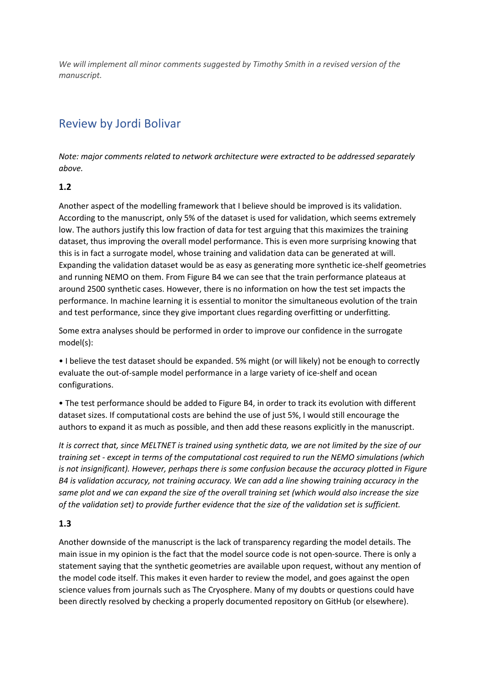*We will implement all minor comments suggested by Timothy Smith in a revised version of the manuscript.*

# Review by Jordi Bolivar

*Note: major comments related to network architecture were extracted to be addressed separately above.*

## **1.2**

Another aspect of the modelling framework that I believe should be improved is its validation. According to the manuscript, only 5% of the dataset is used for validation, which seems extremely low. The authors justify this low fraction of data for test arguing that this maximizes the training dataset, thus improving the overall model performance. This is even more surprising knowing that this is in fact a surrogate model, whose training and validation data can be generated at will. Expanding the validation dataset would be as easy as generating more synthetic ice-shelf geometries and running NEMO on them. From Figure B4 we can see that the train performance plateaus at around 2500 synthetic cases. However, there is no information on how the test set impacts the performance. In machine learning it is essential to monitor the simultaneous evolution of the train and test performance, since they give important clues regarding overfitting or underfitting.

Some extra analyses should be performed in order to improve our confidence in the surrogate model(s):

• I believe the test dataset should be expanded. 5% might (or will likely) not be enough to correctly evaluate the out-of-sample model performance in a large variety of ice-shelf and ocean configurations.

• The test performance should be added to Figure B4, in order to track its evolution with different dataset sizes. If computational costs are behind the use of just 5%, I would still encourage the authors to expand it as much as possible, and then add these reasons explicitly in the manuscript.

*It is correct that, since MELTNET is trained using synthetic data, we are not limited by the size of our training set - except in terms of the computational cost required to run the NEMO simulations (which is not insignificant). However, perhaps there is some confusion because the accuracy plotted in Figure B4 is validation accuracy, not training accuracy. We can add a line showing training accuracy in the same plot and we can expand the size of the overall training set (which would also increase the size of the validation set) to provide further evidence that the size of the validation set is sufficient.*

#### **1.3**

Another downside of the manuscript is the lack of transparency regarding the model details. The main issue in my opinion is the fact that the model source code is not open-source. There is only a statement saying that the synthetic geometries are available upon request, without any mention of the model code itself. This makes it even harder to review the model, and goes against the open science values from journals such as The Cryosphere. Many of my doubts or questions could have been directly resolved by checking a properly documented repository on GitHub (or elsewhere).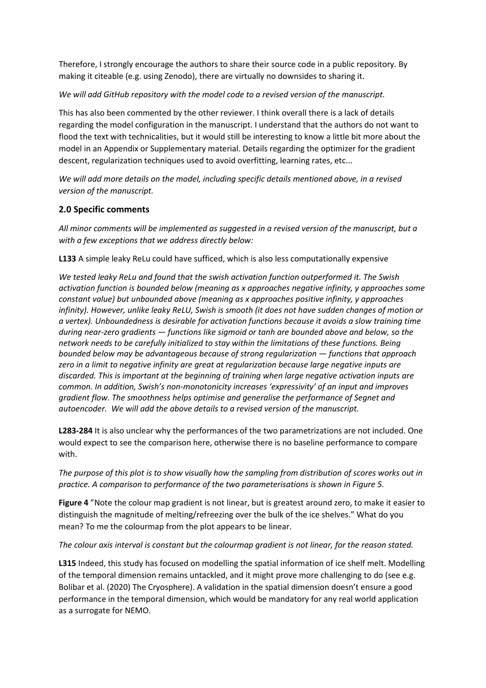Therefore, I strongly encourage the authors to share their source code in a public repository. By making it citeable (e.g. using Zenodo), there are virtually no downsides to sharing it.

#### *We will add GitHub repository with the model code to a revised version of the manuscript.*

This has also been commented by the other reviewer. I think overall there is a lack of details regarding the model configuration in the manuscript. I understand that the authors do not want to flood the text with technicalities, but it would still be interesting to know a little bit more about the model in an Appendix or Supplementary material. Details regarding the optimizer for the gradient descent, regularization techniques used to avoid overfitting, learning rates, etc...

*We will add more details on the model, including specific details mentioned above, in a revised version of the manuscript.*

## **2.0 Specific comments**

*All minor comments will be implemented as suggested in a revised version of the manuscript, but a with a few exceptions that we address directly below:*

**L133** A simple leaky ReLu could have sufficed, which is also less computationally expensive

*We tested leaky ReLu and found that the swish activation function outperformed it. The Swish activation function is bounded below (meaning as x approaches negative infinity, y approaches some constant value) but unbounded above (meaning as x approaches positive infinity, y approaches infinity). However, unlike leaky ReLU, Swish is smooth (it does not have sudden changes of motion or a vertex). Unboundedness is desirable for activation functions because it avoids a slow training time during near-zero gradients — functions like sigmoid or tanh are bounded above and below, so the network needs to be carefully initialized to stay within the limitations of these functions. Being bounded below may be advantageous because of strong regularization — functions that approach zero in a limit to negative infinity are great at regularization because large negative inputs are discarded. This is important at the beginning of training when large negative activation inputs are common. In addition, Swish's non-monotonicity increases 'expressivity' of an input and improves gradient flow. The smoothness helps optimise and generalise the performance of Segnet and autoencoder. We will add the above details to a revised version of the manuscript.*

**L283-284** It is also unclear why the performances of the two parametrizations are not included. One would expect to see the comparison here, otherwise there is no baseline performance to compare with.

*The purpose of this plot is to show visually how the sampling from distribution of scores works out in practice. A comparison to performance of the two parameterisations is shown in Figure 5.*

**Figure 4** "Note the colour map gradient is not linear, but is greatest around zero, to make it easier to distinguish the magnitude of melting/refreezing over the bulk of the ice shelves." What do you mean? To me the colourmap from the plot appears to be linear.

#### *The colour axis interval is constant but the colourmap gradient is not linear, for the reason stated.*

**L315** Indeed, this study has focused on modelling the spatial information of ice shelf melt. Modelling of the temporal dimension remains untackled, and it might prove more challenging to do (see e.g. Bolibar et al. (2020) The Cryosphere). A validation in the spatial dimension doesn't ensure a good performance in the temporal dimension, which would be mandatory for any real world application as a surrogate for NEMO.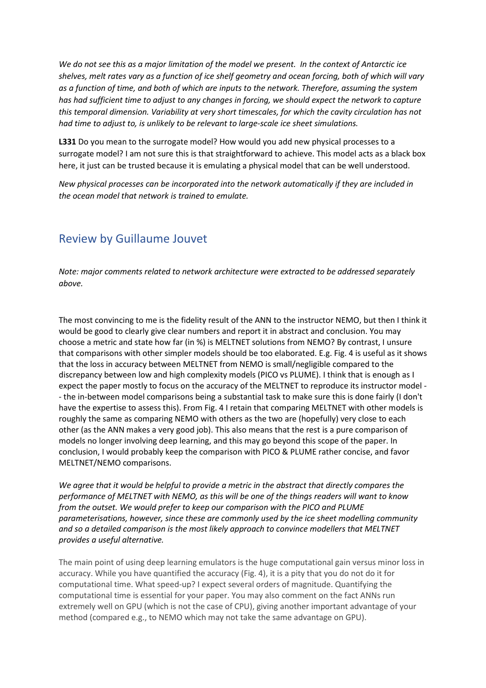*We do not see this as a major limitation of the model we present. In the context of Antarctic ice shelves, melt rates vary as a function of ice shelf geometry and ocean forcing, both of which will vary as a function of time, and both of which are inputs to the network. Therefore, assuming the system has had sufficient time to adjust to any changes in forcing, we should expect the network to capture this temporal dimension. Variability at very short timescales, for which the cavity circulation has not had time to adjust to, is unlikely to be relevant to large-scale ice sheet simulations.*

**L331** Do you mean to the surrogate model? How would you add new physical processes to a surrogate model? I am not sure this is that straightforward to achieve. This model acts as a black box here, it just can be trusted because it is emulating a physical model that can be well understood.

*New physical processes can be incorporated into the network automatically if they are included in the ocean model that network is trained to emulate.*

# Review by Guillaume Jouvet

*Note: major comments related to network architecture were extracted to be addressed separately above.*

The most convincing to me is the fidelity result of the ANN to the instructor NEMO, but then I think it would be good to clearly give clear numbers and report it in abstract and conclusion. You may choose a metric and state how far (in %) is MELTNET solutions from NEMO? By contrast, I unsure that comparisons with other simpler models should be too elaborated. E.g. Fig. 4 is useful as it shows that the loss in accuracy between MELTNET from NEMO is small/negligible compared to the discrepancy between low and high complexity models (PICO vs PLUME). I think that is enough as I expect the paper mostly to focus on the accuracy of the MELTNET to reproduce its instructor model - - the in-between model comparisons being a substantial task to make sure this is done fairly (I don't have the expertise to assess this). From Fig. 4 I retain that comparing MELTNET with other models is roughly the same as comparing NEMO with others as the two are (hopefully) very close to each other (as the ANN makes a very good job). This also means that the rest is a pure comparison of models no longer involving deep learning, and this may go beyond this scope of the paper. In conclusion, I would probably keep the comparison with PICO & PLUME rather concise, and favor MELTNET/NEMO comparisons.

*We agree that it would be helpful to provide a metric in the abstract that directly compares the performance of MELTNET with NEMO, as this will be one of the things readers will want to know from the outset. We would prefer to keep our comparison with the PICO and PLUME parameterisations, however, since these are commonly used by the ice sheet modelling community and so a detailed comparison is the most likely approach to convince modellers that MELTNET provides a useful alternative.* 

The main point of using deep learning emulators is the huge computational gain versus minor loss in accuracy. While you have quantified the accuracy (Fig. 4), it is a pity that you do not do it for computational time. What speed-up? I expect several orders of magnitude. Quantifying the computational time is essential for your paper. You may also comment on the fact ANNs run extremely well on GPU (which is not the case of CPU), giving another important advantage of your method (compared e.g., to NEMO which may not take the same advantage on GPU).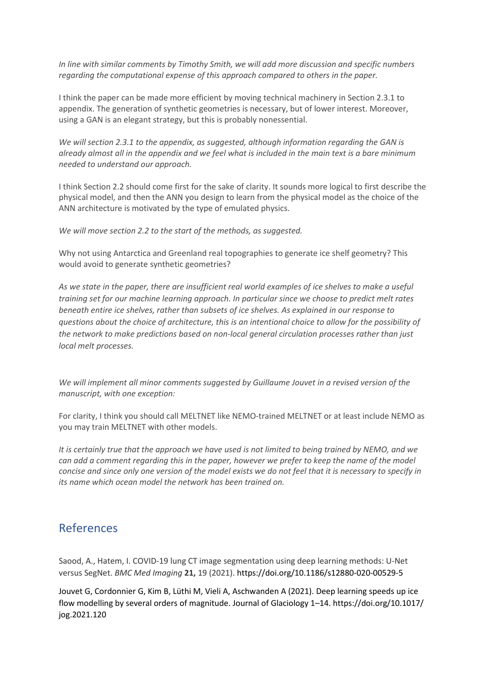*In line with similar comments by Timothy Smith, we will add more discussion and specific numbers regarding the computational expense of this approach compared to others in the paper.* 

I think the paper can be made more efficient by moving technical machinery in Section 2.3.1 to appendix. The generation of synthetic geometries is necessary, but of lower interest. Moreover, using a GAN is an elegant strategy, but this is probably nonessential.

*We will section 2.3.1 to the appendix, as suggested, although information regarding the GAN is already almost all in the appendix and we feel what is included in the main text is a bare minimum needed to understand our approach.*

I think Section 2.2 should come first for the sake of clarity. It sounds more logical to first describe the physical model, and then the ANN you design to learn from the physical model as the choice of the ANN architecture is motivated by the type of emulated physics.

*We will move section 2.2 to the start of the methods, as suggested.*

Why not using Antarctica and Greenland real topographies to generate ice shelf geometry? This would avoid to generate synthetic geometries?

*As we state in the paper, there are insufficient real world examples of ice shelves to make a useful training set for our machine learning approach. In particular since we choose to predict melt rates beneath entire ice shelves, rather than subsets of ice shelves. As explained in our response to questions about the choice of architecture, this is an intentional choice to allow for the possibility of the network to make predictions based on non-local general circulation processes rather than just local melt processes.*

*We will implement all minor comments suggested by Guillaume Jouvet in a revised version of the manuscript, with one exception:*

For clarity, I think you should call MELTNET like NEMO-trained MELTNET or at least include NEMO as you may train MELTNET with other models.

*It is certainly true that the approach we have used is not limited to being trained by NEMO, and we can add a comment regarding this in the paper, however we prefer to keep the name of the model concise and since only one version of the model exists we do not feel that it is necessary to specify in its name which ocean model the network has been trained on.*

# References

Saood, A., Hatem, I. COVID-19 lung CT image segmentation using deep learning methods: U-Net versus SegNet. *BMC Med Imaging* **21,** 19 (2021). https://doi.org/10.1186/s12880-020-00529-5

Jouvet G, Cordonnier G, Kim B, Lüthi M, Vieli A, Aschwanden A (2021). Deep learning speeds up ice flow modelling by several orders of magnitude. Journal of Glaciology 1–14. https://doi.org/10.1017/ jog.2021.120